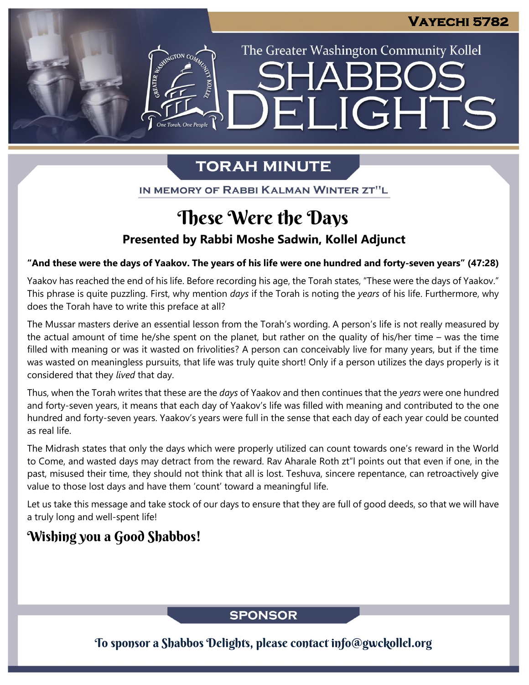The Greater Washington Community Kollel

LIGHTS

# **TORAH MINUTE**

 $\left| - \right|$ 

IN MEMORY OF RABBI KALMAN WINTER ZT"L

# **Presented by Rabbi Moshe Sadwin, Kollel Adjunct** These Were the Days

#### **"And these were the days of Yaakov. The years of his life were one hundred and forty-seven years" (47:28)**

Yaakov has reached the end of his life. Before recording his age, the Torah states, "These were the days of Yaakov." This phrase is quite puzzling. First, why mention *days* if the Torah is noting the *years* of his life. Furthermore, why does the Torah have to write this preface at all?

The Mussar masters derive an essential lesson from the Torah's wording. A person's life is not really measured by the actual amount of time he/she spent on the planet, but rather on the quality of his/her time – was the time filled with meaning or was it wasted on frivolities? A person can conceivably live for many years, but if the time was wasted on meaningless pursuits, that life was truly quite short! Only if a person utilizes the days properly is it considered that they *lived* that day.

Thus, when the Torah writes that these are the *days* of Yaakov and then continues that the *years* were one hundred and forty-seven years, it means that each day of Yaakov's life was filled with meaning and contributed to the one hundred and forty-seven years. Yaakov's years were full in the sense that each day of each year could be counted as real life.

The Midrash states that only the days which were properly utilized can count towards one's reward in the World to Come, and wasted days may detract from the reward. Rav Aharale Roth zt"l points out that even if one, in the past, misused their time, they should not think that all is lost. Teshuva, sincere repentance, can retroactively give value to those lost days and have them 'count' toward a meaningful life.

Let us take this message and take stock of our days to ensure that they are full of good deeds, so that we will have a truly long and well-spent life!

# Wishing you a Good Shabbos!

# **SPONSOR**

To sponsor a Shabbos Delights, please contact info@gwckollel.org